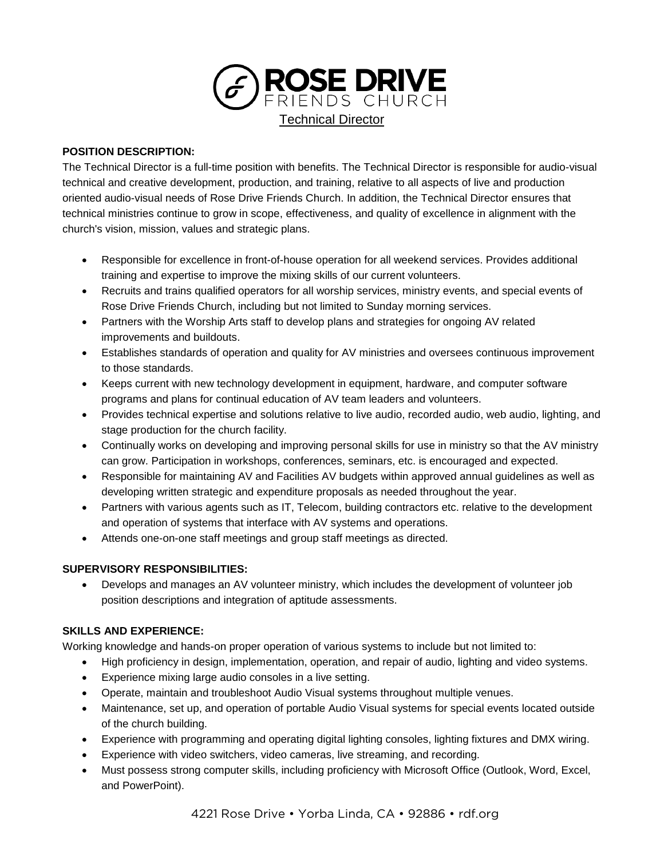

### **POSITION DESCRIPTION:**

The Technical Director is a full-time position with benefits. The Technical Director is responsible for audio-visual technical and creative development, production, and training, relative to all aspects of live and production oriented audio-visual needs of Rose Drive Friends Church. In addition, the Technical Director ensures that technical ministries continue to grow in scope, effectiveness, and quality of excellence in alignment with the church's vision, mission, values and strategic plans.

- Responsible for excellence in front-of-house operation for all weekend services. Provides additional training and expertise to improve the mixing skills of our current volunteers.
- Recruits and trains qualified operators for all worship services, ministry events, and special events of Rose Drive Friends Church, including but not limited to Sunday morning services.
- Partners with the Worship Arts staff to develop plans and strategies for ongoing AV related improvements and buildouts.
- Establishes standards of operation and quality for AV ministries and oversees continuous improvement to those standards.
- Keeps current with new technology development in equipment, hardware, and computer software programs and plans for continual education of AV team leaders and volunteers.
- Provides technical expertise and solutions relative to live audio, recorded audio, web audio, lighting, and stage production for the church facility.
- Continually works on developing and improving personal skills for use in ministry so that the AV ministry can grow. Participation in workshops, conferences, seminars, etc. is encouraged and expected.
- Responsible for maintaining AV and Facilities AV budgets within approved annual guidelines as well as developing written strategic and expenditure proposals as needed throughout the year.
- Partners with various agents such as IT, Telecom, building contractors etc. relative to the development and operation of systems that interface with AV systems and operations.
- Attends one-on-one staff meetings and group staff meetings as directed.

# **SUPERVISORY RESPONSIBILITIES:**

 Develops and manages an AV volunteer ministry, which includes the development of volunteer job position descriptions and integration of aptitude assessments.

### **SKILLS AND EXPERIENCE:**

Working knowledge and hands-on proper operation of various systems to include but not limited to:

- High proficiency in design, implementation, operation, and repair of audio, lighting and video systems.
- Experience mixing large audio consoles in a live setting.
- Operate, maintain and troubleshoot Audio Visual systems throughout multiple venues.
- Maintenance, set up, and operation of portable Audio Visual systems for special events located outside of the church building.
- Experience with programming and operating digital lighting consoles, lighting fixtures and DMX wiring.
- Experience with video switchers, video cameras, live streaming, and recording.
- Must possess strong computer skills, including proficiency with Microsoft Office (Outlook, Word, Excel, and PowerPoint).